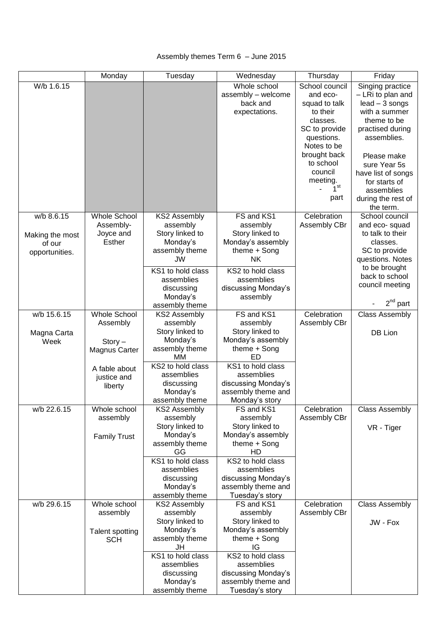# Assembly themes Term 6 – June 2015

|                 | Monday              | Tuesday                         | Wednesday               | Thursday        | Friday                |
|-----------------|---------------------|---------------------------------|-------------------------|-----------------|-----------------------|
| W/b 1.6.15      |                     |                                 | Whole school            | School council  | Singing practice      |
|                 |                     |                                 | assembly - welcome      | and eco-        | - LRi to plan and     |
|                 |                     |                                 | back and                | squad to talk   | $lead - 3$ songs      |
|                 |                     |                                 | expectations.           | to their        | with a summer         |
|                 |                     |                                 |                         | classes.        | theme to be           |
|                 |                     |                                 |                         | SC to provide   | practised during      |
|                 |                     |                                 |                         | questions.      | assemblies.           |
|                 |                     |                                 |                         | Notes to be     |                       |
|                 |                     |                                 |                         | brought back    | Please make           |
|                 |                     |                                 |                         | to school       | sure Year 5s          |
|                 |                     |                                 |                         | council         | have list of songs    |
|                 |                     |                                 |                         | meeting.        | for starts of         |
|                 |                     |                                 |                         | 7 <sup>st</sup> | assemblies            |
|                 |                     |                                 |                         | part            | during the rest of    |
|                 |                     |                                 |                         |                 | the term.             |
| w/b 8.6.15      | <b>Whole School</b> | KS2 Assembly                    | FS and KS1              | Celebration     | School council        |
|                 | Assembly-           | assembly                        | assembly                | Assembly CBr    | and eco-squad         |
| Making the most | Joyce and           | Story linked to                 | Story linked to         |                 | to talk to their      |
| of our          | Esther              | Monday's                        | Monday's assembly       |                 | classes.              |
| opportunities.  |                     | assembly theme                  | theme $+$ Song          |                 | SC to provide         |
|                 |                     | JW                              | <b>NK</b>               |                 | questions. Notes      |
|                 |                     | KS1 to hold class               | KS2 to hold class       |                 | to be brought         |
|                 |                     | assemblies                      | assemblies              |                 | back to school        |
|                 |                     | discussing                      | discussing Monday's     |                 | council meeting       |
|                 |                     | Monday's                        | assembly                |                 |                       |
|                 |                     | assembly theme                  |                         |                 | $2^{nd}$ part         |
| w/b 15.6.15     | Whole School        | <b>KS2 Assembly</b>             | FS and KS1              | Celebration     | <b>Class Assembly</b> |
|                 | Assembly            | assembly                        | assembly                | Assembly CBr    |                       |
| Magna Carta     |                     | Story linked to                 | Story linked to         |                 | DB Lion               |
| Week            | $Story -$           | Monday's                        | Monday's assembly       |                 |                       |
|                 | Magnus Carter       | assembly theme                  | theme $+$ Song          |                 |                       |
|                 |                     | МM                              | ED<br>KS1 to hold class |                 |                       |
|                 | A fable about       | KS2 to hold class<br>assemblies | assemblies              |                 |                       |
|                 | justice and         | discussing                      | discussing Monday's     |                 |                       |
|                 | liberty             | Monday's                        | assembly theme and      |                 |                       |
|                 |                     | assembly theme                  | Monday's story          |                 |                       |
| w/b 22.6.15     | Whole school        | KS2 Assembly                    | FS and KS1              | Celebration     | <b>Class Assembly</b> |
|                 | assembly            | assembly                        | assembly                | Assembly CBr    |                       |
|                 |                     | Story linked to                 | Story linked to         |                 | VR - Tiger            |
|                 | <b>Family Trust</b> | Monday's                        | Monday's assembly       |                 |                       |
|                 |                     | assembly theme                  | theme $+$ Song          |                 |                       |
|                 |                     | GG                              | HD                      |                 |                       |
|                 |                     | KS1 to hold class               | KS2 to hold class       |                 |                       |
|                 |                     | assemblies                      | assemblies              |                 |                       |
|                 |                     | discussing                      | discussing Monday's     |                 |                       |
|                 |                     | Monday's                        | assembly theme and      |                 |                       |
|                 |                     | assembly theme                  | Tuesday's story         |                 |                       |
| w/b 29.6.15     | Whole school        | <b>KS2 Assembly</b>             | FS and KS1              | Celebration     | <b>Class Assembly</b> |
|                 | assembly            | assembly                        | assembly                | Assembly CBr    |                       |
|                 |                     | Story linked to                 | Story linked to         |                 | JW - Fox              |
|                 | Talent spotting     | Monday's                        | Monday's assembly       |                 |                       |
|                 | <b>SCH</b>          | assembly theme                  | theme $+$ Song          |                 |                       |
|                 |                     | JH<br>KS1 to hold class         | IG<br>KS2 to hold class |                 |                       |
|                 |                     | assemblies                      | assemblies              |                 |                       |
|                 |                     | discussing                      | discussing Monday's     |                 |                       |
|                 |                     | Monday's                        | assembly theme and      |                 |                       |
|                 |                     | assembly theme                  | Tuesday's story         |                 |                       |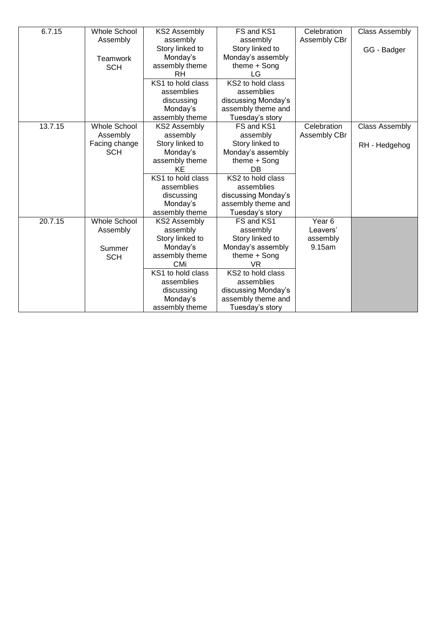| 6.7.15  | <b>Whole School</b> | <b>KS2 Assembly</b> | FS and KS1          | Celebration  | <b>Class Assembly</b> |
|---------|---------------------|---------------------|---------------------|--------------|-----------------------|
|         | Assembly            | assembly            | assembly            | Assembly CBr |                       |
|         |                     | Story linked to     | Story linked to     |              | GG - Badger           |
|         | Teamwork            | Monday's            | Monday's assembly   |              |                       |
|         | <b>SCH</b>          | assembly theme      | theme $+$ Song      |              |                       |
|         |                     | RH                  | LG                  |              |                       |
|         |                     | KS1 to hold class   | KS2 to hold class   |              |                       |
|         |                     | assemblies          | assemblies          |              |                       |
|         |                     | discussing          | discussing Monday's |              |                       |
|         |                     | Monday's            | assembly theme and  |              |                       |
|         |                     | assembly theme      | Tuesday's story     |              |                       |
| 13.7.15 | <b>Whole School</b> | <b>KS2 Assembly</b> | FS and KS1          | Celebration  | <b>Class Assembly</b> |
|         | Assembly            | assembly            | assembly            | Assembly CBr |                       |
|         | Facing change       | Story linked to     | Story linked to     |              | RH - Hedgehog         |
|         | <b>SCH</b>          | Monday's            | Monday's assembly   |              |                       |
|         |                     | assembly theme      | theme + Song        |              |                       |
|         |                     | KE                  | DB                  |              |                       |
|         |                     | KS1 to hold class   | KS2 to hold class   |              |                       |
|         |                     | assemblies          | assemblies          |              |                       |
|         |                     | discussing          | discussing Monday's |              |                       |
|         |                     | Monday's            | assembly theme and  |              |                       |
|         |                     | assembly theme      | Tuesday's story     |              |                       |
| 20.7.15 | <b>Whole School</b> | <b>KS2 Assembly</b> | FS and KS1          | Year 6       |                       |
|         | Assembly            | assembly            | assembly            | Leavers'     |                       |
|         |                     | Story linked to     | Story linked to     | assembly     |                       |
|         | Summer              | Monday's            | Monday's assembly   | 9.15am       |                       |
|         | <b>SCH</b>          | assembly theme      | theme $+$ Song      |              |                       |
|         |                     | CMi                 | VR                  |              |                       |
|         |                     | KS1 to hold class   | KS2 to hold class   |              |                       |
|         |                     | assemblies          | assemblies          |              |                       |
|         |                     | discussing          | discussing Monday's |              |                       |
|         |                     | Monday's            | assembly theme and  |              |                       |
|         |                     | assembly theme      | Tuesday's story     |              |                       |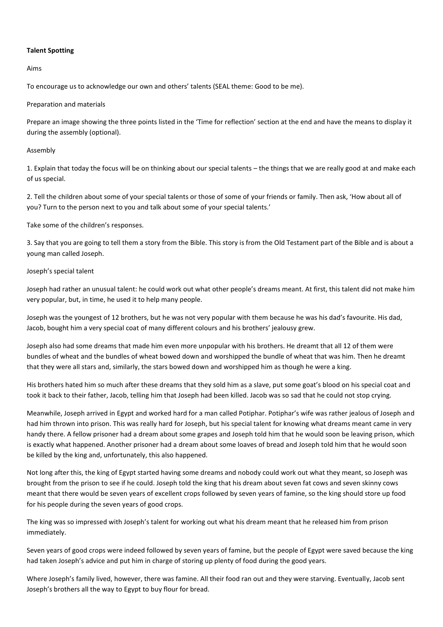# **Talent Spotting**

Aims

To encourage us to acknowledge our own and others' talents (SEAL theme: Good to be me).

# Preparation and materials

Prepare an image showing the three points listed in the 'Time for reflection' section at the end and have the means to display it during the assembly (optional).

# Assembly

1. Explain that today the focus will be on thinking about our special talents – the things that we are really good at and make each of us special.

2. Tell the children about some of your special talents or those of some of your friends or family. Then ask, 'How about all of you? Turn to the person next to you and talk about some of your special talents.'

Take some of the children's responses.

3. Say that you are going to tell them a story from the Bible. This story is from the Old Testament part of the Bible and is about a young man called Joseph.

# Joseph's special talent

Joseph had rather an unusual talent: he could work out what other people's dreams meant. At first, this talent did not make him very popular, but, in time, he used it to help many people.

Joseph was the youngest of 12 brothers, but he was not very popular with them because he was his dad's favourite. His dad, Jacob, bought him a very special coat of many different colours and his brothers' jealousy grew.

Joseph also had some dreams that made him even more unpopular with his brothers. He dreamt that all 12 of them were bundles of wheat and the bundles of wheat bowed down and worshipped the bundle of wheat that was him. Then he dreamt that they were all stars and, similarly, the stars bowed down and worshipped him as though he were a king.

His brothers hated him so much after these dreams that they sold him as a slave, put some goat's blood on his special coat and took it back to their father, Jacob, telling him that Joseph had been killed. Jacob was so sad that he could not stop crying.

Meanwhile, Joseph arrived in Egypt and worked hard for a man called Potiphar. Potiphar's wife was rather jealous of Joseph and had him thrown into prison. This was really hard for Joseph, but his special talent for knowing what dreams meant came in very handy there. A fellow prisoner had a dream about some grapes and Joseph told him that he would soon be leaving prison, which is exactly what happened. Another prisoner had a dream about some loaves of bread and Joseph told him that he would soon be killed by the king and, unfortunately, this also happened.

Not long after this, the king of Egypt started having some dreams and nobody could work out what they meant, so Joseph was brought from the prison to see if he could. Joseph told the king that his dream about seven fat cows and seven skinny cows meant that there would be seven years of excellent crops followed by seven years of famine, so the king should store up food for his people during the seven years of good crops.

The king was so impressed with Joseph's talent for working out what his dream meant that he released him from prison immediately.

Seven years of good crops were indeed followed by seven years of famine, but the people of Egypt were saved because the king had taken Joseph's advice and put him in charge of storing up plenty of food during the good years.

Where Joseph's family lived, however, there was famine. All their food ran out and they were starving. Eventually, Jacob sent Joseph's brothers all the way to Egypt to buy flour for bread.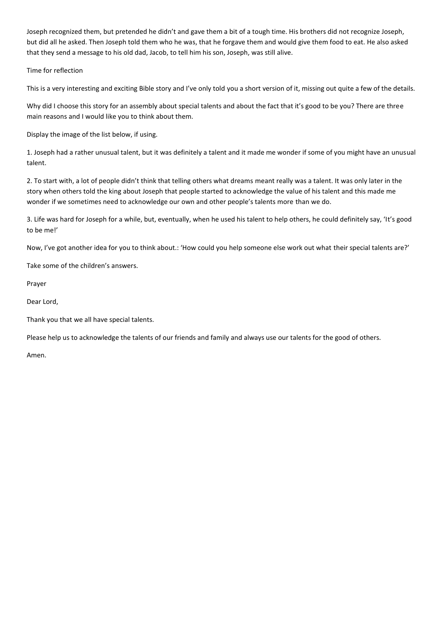Joseph recognized them, but pretended he didn't and gave them a bit of a tough time. His brothers did not recognize Joseph, but did all he asked. Then Joseph told them who he was, that he forgave them and would give them food to eat. He also asked that they send a message to his old dad, Jacob, to tell him his son, Joseph, was still alive.

Time for reflection

This is a very interesting and exciting Bible story and I've only told you a short version of it, missing out quite a few of the details.

Why did I choose this story for an assembly about special talents and about the fact that it's good to be you? There are three main reasons and I would like you to think about them.

Display the image of the list below, if using.

1. Joseph had a rather unusual talent, but it was definitely a talent and it made me wonder if some of you might have an unusual talent.

2. To start with, a lot of people didn't think that telling others what dreams meant really was a talent. It was only later in the story when others told the king about Joseph that people started to acknowledge the value of his talent and this made me wonder if we sometimes need to acknowledge our own and other people's talents more than we do.

3. Life was hard for Joseph for a while, but, eventually, when he used his talent to help others, he could definitely say, 'It's good to be me!'

Now, I've got another idea for you to think about.: 'How could you help someone else work out what their special talents are?'

Take some of the children's answers.

Prayer

Dear Lord,

Thank you that we all have special talents.

Please help us to acknowledge the talents of our friends and family and always use our talents for the good of others.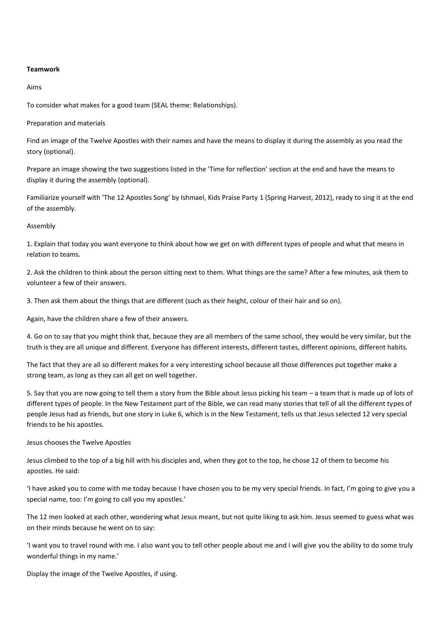## **Teamwork**

#### Aims

To consider what makes for a good team (SEAL theme: Relationships).

Preparation and materials

Find an image of the Twelve Apostles with their names and have the means to display it during the assembly as you read the story (optional).

Prepare an image showing the two suggestions listed in the 'Time for reflection' section at the end and have the means to display it during the assembly (optional).

Familiarize yourself with 'The 12 Apostles Song' by Ishmael, Kids Praise Party 1 (Spring Harvest, 2012), ready to sing it at the end of the assembly.

## Assembly

1. Explain that today you want everyone to think about how we get on with different types of people and what that means in relation to teams.

2. Ask the children to think about the person sitting next to them. What things are the same? After a few minutes, ask them to volunteer a few of their answers.

3. Then ask them about the things that are different (such as their height, colour of their hair and so on).

Again, have the children share a few of their answers.

4. Go on to say that you might think that, because they are all members of the same school, they would be very similar, but the truth is they are all unique and different. Everyone has different interests, different tastes, different opinions, different habits.

The fact that they are all so different makes for a very interesting school because all those differences put together make a strong team, as long as they can all get on well together.

5. Say that you are now going to tell them a story from the Bible about Jesus picking his team – a team that is made up of lots of different types of people. In the New Testament part of the Bible, we can read many stories that tell of all the different types of people Jesus had as friends, but one story in Luke 6, which is in the New Testament, tells us that Jesus selected 12 very special friends to be his apostles.

## Jesus chooses the Twelve Apostles

Jesus climbed to the top of a big hill with his disciples and, when they got to the top, he chose 12 of them to become his apostles. He said:

'I have asked you to come with me today because I have chosen you to be my very special friends. In fact, I'm going to give you a special name, too: I'm going to call you my apostles.'

The 12 men looked at each other, wondering what Jesus meant, but not quite liking to ask him. Jesus seemed to guess what was on their minds because he went on to say:

'I want you to travel round with me. I also want you to tell other people about me and I will give you the ability to do some truly wonderful things in my name.'

Display the image of the Twelve Apostles, if using.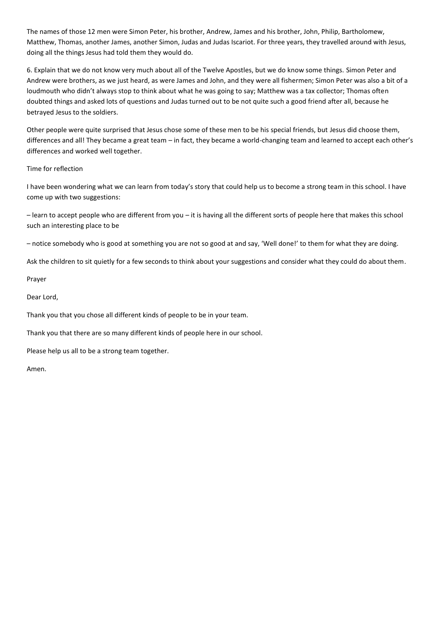The names of those 12 men were Simon Peter, his brother, Andrew, James and his brother, John, Philip, Bartholomew, Matthew, Thomas, another James, another Simon, Judas and Judas Iscariot. For three years, they travelled around with Jesus, doing all the things Jesus had told them they would do.

6. Explain that we do not know very much about all of the Twelve Apostles, but we do know some things. Simon Peter and Andrew were brothers, as we just heard, as were James and John, and they were all fishermen; Simon Peter was also a bit of a loudmouth who didn't always stop to think about what he was going to say; Matthew was a tax collector; Thomas often doubted things and asked lots of questions and Judas turned out to be not quite such a good friend after all, because he betrayed Jesus to the soldiers.

Other people were quite surprised that Jesus chose some of these men to be his special friends, but Jesus did choose them, differences and all! They became a great team – in fact, they became a world-changing team and learned to accept each other's differences and worked well together.

## Time for reflection

I have been wondering what we can learn from today's story that could help us to become a strong team in this school. I have come up with two suggestions:

– learn to accept people who are different from you – it is having all the different sorts of people here that makes this school such an interesting place to be

– notice somebody who is good at something you are not so good at and say, 'Well done!' to them for what they are doing.

Ask the children to sit quietly for a few seconds to think about your suggestions and consider what they could do about them.

Prayer

Dear Lord,

Thank you that you chose all different kinds of people to be in your team.

Thank you that there are so many different kinds of people here in our school.

Please help us all to be a strong team together.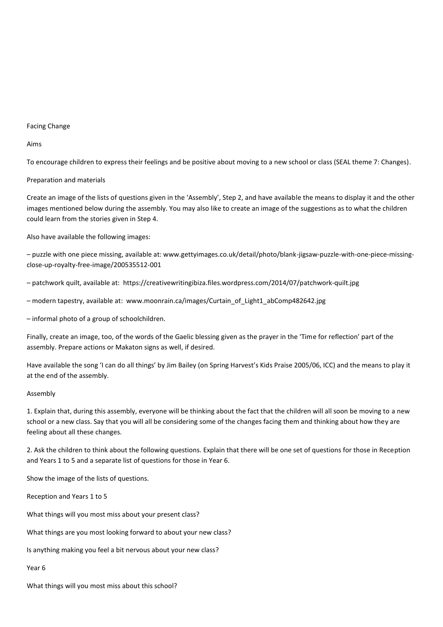#### Facing Change

Aims

To encourage children to express their feelings and be positive about moving to a new school or class (SEAL theme 7: Changes).

#### Preparation and materials

Create an image of the lists of questions given in the 'Assembly', Step 2, and have available the means to display it and the other images mentioned below during the assembly. You may also like to create an image of the suggestions as to what the children could learn from the stories given in Step 4.

Also have available the following images:

– puzzle with one piece missing, available at: www.gettyimages.co.uk/detail/photo/blank-jigsaw-puzzle-with-one-piece-missingclose-up-royalty-free-image/200535512-001

– patchwork quilt, available at: https://creativewritingibiza.files.wordpress.com/2014/07/patchwork-quilt.jpg

– modern tapestry, available at: www.moonrain.ca/images/Curtain\_of\_Light1\_abComp482642.jpg

– informal photo of a group of schoolchildren.

Finally, create an image, too, of the words of the Gaelic blessing given as the prayer in the 'Time for reflection' part of the assembly. Prepare actions or Makaton signs as well, if desired.

Have available the song 'I can do all things' by Jim Bailey (on Spring Harvest's Kids Praise 2005/06, ICC) and the means to play it at the end of the assembly.

#### Assembly

1. Explain that, during this assembly, everyone will be thinking about the fact that the children will all soon be moving to a new school or a new class. Say that you will all be considering some of the changes facing them and thinking about how they are feeling about all these changes.

2. Ask the children to think about the following questions. Explain that there will be one set of questions for those in Reception and Years 1 to 5 and a separate list of questions for those in Year 6.

Show the image of the lists of questions.

Reception and Years 1 to 5

What things will you most miss about your present class?

What things are you most looking forward to about your new class?

Is anything making you feel a bit nervous about your new class?

Year 6

What things will you most miss about this school?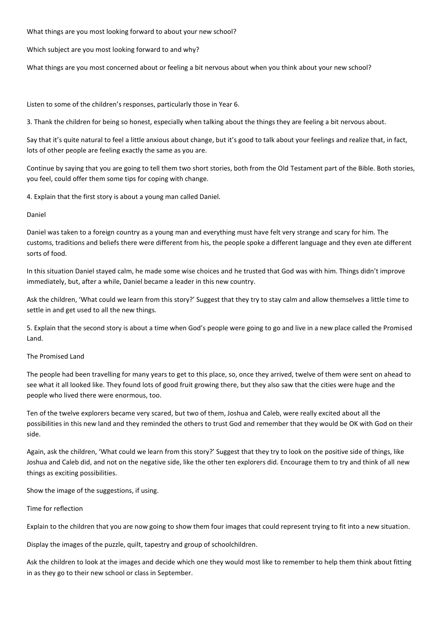What things are you most looking forward to about your new school?

Which subject are you most looking forward to and why?

What things are you most concerned about or feeling a bit nervous about when you think about your new school?

Listen to some of the children's responses, particularly those in Year 6.

3. Thank the children for being so honest, especially when talking about the things they are feeling a bit nervous about.

Say that it's quite natural to feel a little anxious about change, but it's good to talk about your feelings and realize that, in fact, lots of other people are feeling exactly the same as you are.

Continue by saying that you are going to tell them two short stories, both from the Old Testament part of the Bible. Both stories, you feel, could offer them some tips for coping with change.

4. Explain that the first story is about a young man called Daniel.

#### Daniel

Daniel was taken to a foreign country as a young man and everything must have felt very strange and scary for him. The customs, traditions and beliefs there were different from his, the people spoke a different language and they even ate different sorts of food.

In this situation Daniel stayed calm, he made some wise choices and he trusted that God was with him. Things didn't improve immediately, but, after a while, Daniel became a leader in this new country.

Ask the children, 'What could we learn from this story?' Suggest that they try to stay calm and allow themselves a little time to settle in and get used to all the new things.

5. Explain that the second story is about a time when God's people were going to go and live in a new place called the Promised Land.

# The Promised Land

The people had been travelling for many years to get to this place, so, once they arrived, twelve of them were sent on ahead to see what it all looked like. They found lots of good fruit growing there, but they also saw that the cities were huge and the people who lived there were enormous, too.

Ten of the twelve explorers became very scared, but two of them, Joshua and Caleb, were really excited about all the possibilities in this new land and they reminded the others to trust God and remember that they would be OK with God on their side.

Again, ask the children, 'What could we learn from this story?' Suggest that they try to look on the positive side of things, like Joshua and Caleb did, and not on the negative side, like the other ten explorers did. Encourage them to try and think of all new things as exciting possibilities.

Show the image of the suggestions, if using.

### Time for reflection

Explain to the children that you are now going to show them four images that could represent trying to fit into a new situation.

Display the images of the puzzle, quilt, tapestry and group of schoolchildren.

Ask the children to look at the images and decide which one they would most like to remember to help them think about fitting in as they go to their new school or class in September.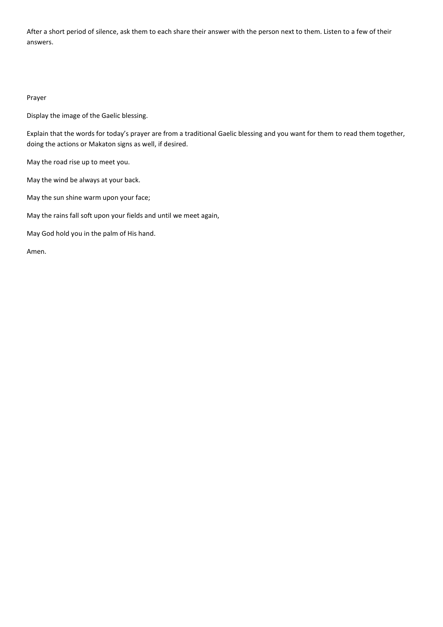After a short period of silence, ask them to each share their answer with the person next to them. Listen to a few of their answers.

#### Prayer

Display the image of the Gaelic blessing.

Explain that the words for today's prayer are from a traditional Gaelic blessing and you want for them to read them together, doing the actions or Makaton signs as well, if desired.

May the road rise up to meet you.

May the wind be always at your back.

May the sun shine warm upon your face;

May the rains fall soft upon your fields and until we meet again,

May God hold you in the palm of His hand.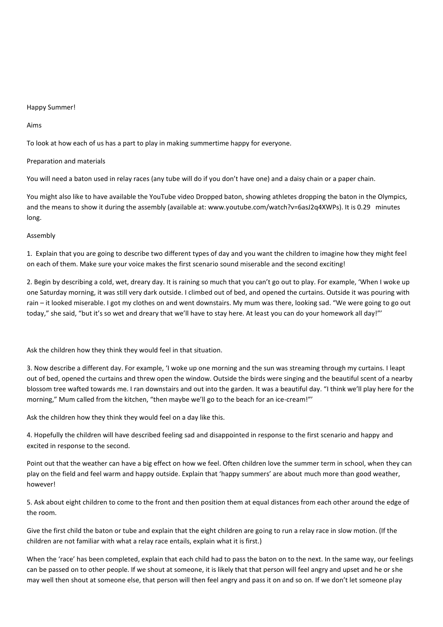#### Happy Summer!

Aims

To look at how each of us has a part to play in making summertime happy for everyone.

#### Preparation and materials

You will need a baton used in relay races (any tube will do if you don't have one) and a daisy chain or a paper chain.

You might also like to have available the YouTube video Dropped baton, showing athletes dropping the baton in the Olympics, and the means to show it during the assembly (available at: www.youtube.com/watch?v=6asJ2q4XWPs). It is 0.29 minutes long.

#### Assembly

1. Explain that you are going to describe two different types of day and you want the children to imagine how they might feel on each of them. Make sure your voice makes the first scenario sound miserable and the second exciting!

2. Begin by describing a cold, wet, dreary day. It is raining so much that you can't go out to play. For example, 'When I woke up one Saturday morning, it was still very dark outside. I climbed out of bed, and opened the curtains. Outside it was pouring with rain – it looked miserable. I got my clothes on and went downstairs. My mum was there, looking sad. "We were going to go out today," she said, "but it's so wet and dreary that we'll have to stay here. At least you can do your homework all day!"'

Ask the children how they think they would feel in that situation.

3. Now describe a different day. For example, 'I woke up one morning and the sun was streaming through my curtains. I leapt out of bed, opened the curtains and threw open the window. Outside the birds were singing and the beautiful scent of a nearby blossom tree wafted towards me. I ran downstairs and out into the garden. It was a beautiful day. "I think we'll play here for the morning," Mum called from the kitchen, "then maybe we'll go to the beach for an ice-cream!"'

Ask the children how they think they would feel on a day like this.

4. Hopefully the children will have described feeling sad and disappointed in response to the first scenario and happy and excited in response to the second.

Point out that the weather can have a big effect on how we feel. Often children love the summer term in school, when they can play on the field and feel warm and happy outside. Explain that 'happy summers' are about much more than good weather, however!

5. Ask about eight children to come to the front and then position them at equal distances from each other around the edge of the room.

Give the first child the baton or tube and explain that the eight children are going to run a relay race in slow motion. (If the children are not familiar with what a relay race entails, explain what it is first.)

When the 'race' has been completed, explain that each child had to pass the baton on to the next. In the same way, our feelings can be passed on to other people. If we shout at someone, it is likely that that person will feel angry and upset and he or she may well then shout at someone else, that person will then feel angry and pass it on and so on. If we don't let someone play